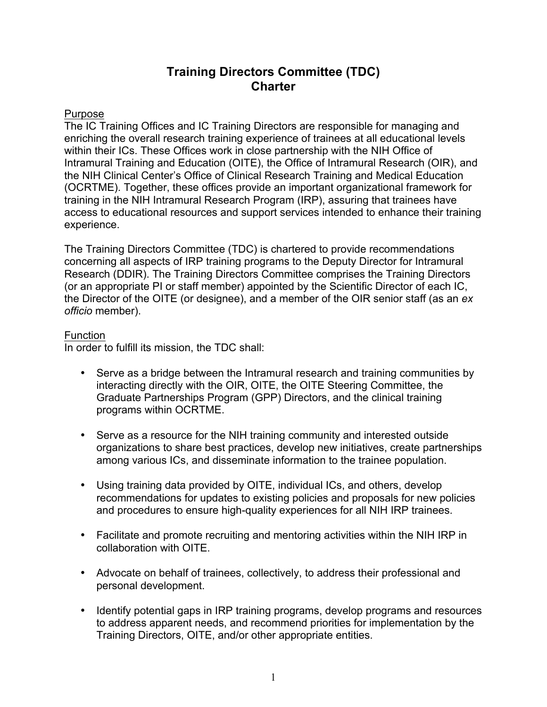# **Training Directors Committee (TDC) Charter**

# Purpose

The IC Training Offices and IC Training Directors are responsible for managing and enriching the overall research training experience of trainees at all educational levels within their ICs. These Offices work in close partnership with the NIH Office of Intramural Training and Education (OITE), the Office of Intramural Research (OIR), and the NIH Clinical Center's Office of Clinical Research Training and Medical Education (OCRTME). Together, these offices provide an important organizational framework for training in the NIH Intramural Research Program (IRP), assuring that trainees have access to educational resources and support services intended to enhance their training experience.

The Training Directors Committee (TDC) is chartered to provide recommendations concerning all aspects of IRP training programs to the Deputy Director for Intramural Research (DDIR). The Training Directors Committee comprises the Training Directors (or an appropriate PI or staff member) appointed by the Scientific Director of each IC, the Director of the OITE (or designee), and a member of the OIR senior staff (as an *ex officio* member).

# Function

In order to fulfill its mission, the TDC shall:

- Serve as a bridge between the Intramural research and training communities by interacting directly with the OIR, OITE, the OITE Steering Committee, the Graduate Partnerships Program (GPP) Directors, and the clinical training programs within OCRTME.
- Serve as a resource for the NIH training community and interested outside organizations to share best practices, develop new initiatives, create partnerships among various ICs, and disseminate information to the trainee population.
- Using training data provided by OITE, individual ICs, and others, develop recommendations for updates to existing policies and proposals for new policies and procedures to ensure high-quality experiences for all NIH IRP trainees.
- Facilitate and promote recruiting and mentoring activities within the NIH IRP in collaboration with OITE.
- Advocate on behalf of trainees, collectively, to address their professional and personal development.
- Identify potential gaps in IRP training programs, develop programs and resources to address apparent needs, and recommend priorities for implementation by the Training Directors, OITE, and/or other appropriate entities.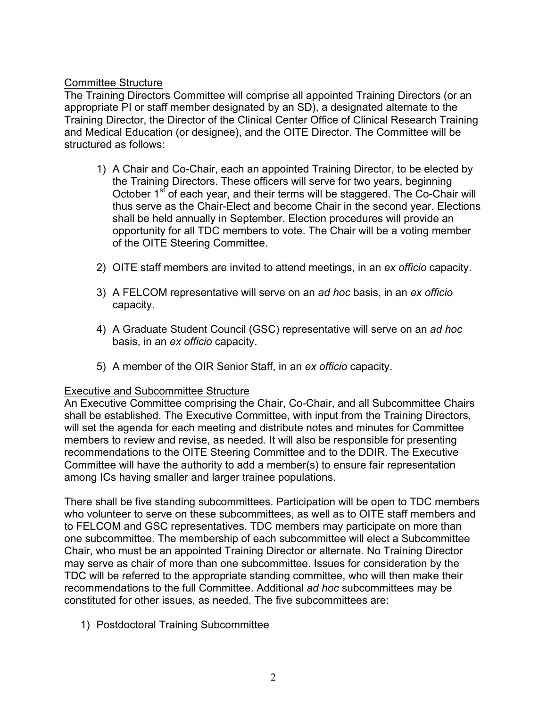# Committee Structure

The Training Directors Committee will comprise all appointed Training Directors (or an appropriate PI or staff member designated by an SD), a designated alternate to the Training Director, the Director of the Clinical Center Office of Clinical Research Training and Medical Education (or designee), and the OITE Director. The Committee will be structured as follows:

- 1) A Chair and Co-Chair, each an appointed Training Director, to be elected by the Training Directors. These officers will serve for two years, beginning October 1<sup>st</sup> of each year, and their terms will be staggered. The Co-Chair will thus serve as the Chair-Elect and become Chair in the second year. Elections shall be held annually in September. Election procedures will provide an opportunity for all TDC members to vote. The Chair will be a voting member of the OITE Steering Committee.
- 2) OITE staff members are invited to attend meetings, in an *ex officio* capacity.
- 3) A FELCOM representative will serve on an *ad hoc* basis, in an *ex officio*  capacity.
- 4) A Graduate Student Council (GSC) representative will serve on an *ad hoc* basis, in an *ex officio* capacity.
- 5) A member of the OIR Senior Staff, in an *ex officio* capacity.

## Executive and Subcommittee Structure

An Executive Committee comprising the Chair, Co-Chair, and all Subcommittee Chairs shall be established. The Executive Committee, with input from the Training Directors, will set the agenda for each meeting and distribute notes and minutes for Committee members to review and revise, as needed. It will also be responsible for presenting recommendations to the OITE Steering Committee and to the DDIR. The Executive Committee will have the authority to add a member(s) to ensure fair representation among ICs having smaller and larger trainee populations.

There shall be five standing subcommittees. Participation will be open to TDC members who volunteer to serve on these subcommittees, as well as to OITE staff members and to FELCOM and GSC representatives. TDC members may participate on more than one subcommittee. The membership of each subcommittee will elect a Subcommittee Chair, who must be an appointed Training Director or alternate. No Training Director may serve as chair of more than one subcommittee. Issues for consideration by the TDC will be referred to the appropriate standing committee, who will then make their recommendations to the full Committee. Additional *ad hoc* subcommittees may be constituted for other issues, as needed. The five subcommittees are:

1) Postdoctoral Training Subcommittee